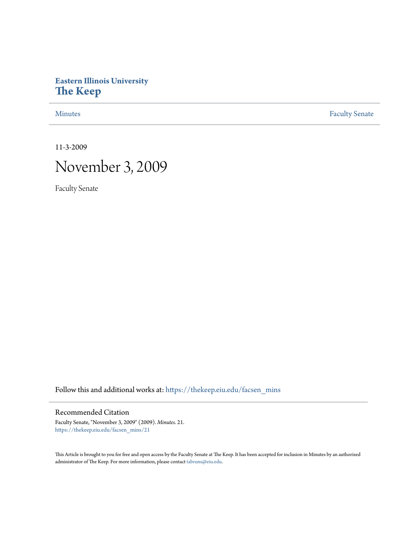# **Eastern Illinois University [The Keep](https://thekeep.eiu.edu?utm_source=thekeep.eiu.edu%2Ffacsen_mins%2F21&utm_medium=PDF&utm_campaign=PDFCoverPages)**

[Minutes](https://thekeep.eiu.edu/facsen_mins?utm_source=thekeep.eiu.edu%2Ffacsen_mins%2F21&utm_medium=PDF&utm_campaign=PDFCoverPages) **[Faculty Senate](https://thekeep.eiu.edu/fac_senate?utm_source=thekeep.eiu.edu%2Ffacsen_mins%2F21&utm_medium=PDF&utm_campaign=PDFCoverPages)** 

11-3-2009

# November 3, 2009

Faculty Senate

Follow this and additional works at: [https://thekeep.eiu.edu/facsen\\_mins](https://thekeep.eiu.edu/facsen_mins?utm_source=thekeep.eiu.edu%2Ffacsen_mins%2F21&utm_medium=PDF&utm_campaign=PDFCoverPages)

## Recommended Citation

Faculty Senate, "November 3, 2009" (2009). *Minutes*. 21. [https://thekeep.eiu.edu/facsen\\_mins/21](https://thekeep.eiu.edu/facsen_mins/21?utm_source=thekeep.eiu.edu%2Ffacsen_mins%2F21&utm_medium=PDF&utm_campaign=PDFCoverPages)

This Article is brought to you for free and open access by the Faculty Senate at The Keep. It has been accepted for inclusion in Minutes by an authorized administrator of The Keep. For more information, please contact [tabruns@eiu.edu.](mailto:tabruns@eiu.edu)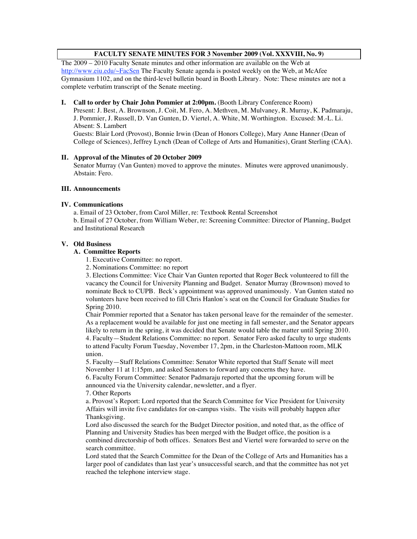### **FACULTY SENATE MINUTES FOR 3 November 2009 (Vol. XXXVIII, No. 9)**

The 2009 – 2010 Faculty Senate minutes and other information are available on the Web at http://www.eiu.edu/~FacSen The Faculty Senate agenda is posted weekly on the Web, at McAfee Gymnasium 1102, and on the third-level bulletin board in Booth Library. Note: These minutes are not a complete verbatim transcript of the Senate meeting.

#### **I. Call to order by Chair John Pommier at 2:00pm.** (Booth Library Conference Room)

Present: J. Best, A. Brownson, J. Coit, M. Fero, A. Methven, M. Mulvaney, R. Murray, K. Padmaraju, J. Pommier, J. Russell, D. Van Gunten, D. Viertel, A. White, M. Worthington. Excused: M.-L. Li. Absent: S. Lambert

Guests: Blair Lord (Provost), Bonnie Irwin (Dean of Honors College), Mary Anne Hanner (Dean of College of Sciences), Jeffrey Lynch (Dean of College of Arts and Humanities), Grant Sterling (CAA).

#### **II. Approval of the Minutes of 20 October 2009**

Senator Murray (Van Gunten) moved to approve the minutes. Minutes were approved unanimously. Abstain: Fero.

#### **III. Announcements**

#### **IV. Communications**

a. Email of 23 October, from Carol Miller, re: Textbook Rental Screenshot b. Email of 27 October, from William Weber, re: Screening Committee: Director of Planning, Budget and Institutional Research

#### **V. Old Business**

#### **A. Committee Reports**

1. Executive Committee: no report.

2. Nominations Committee: no report

3. Elections Committee: Vice Chair Van Gunten reported that Roger Beck volunteered to fill the vacancy the Council for University Planning and Budget. Senator Murray (Brownson) moved to nominate Beck to CUPB. Beck's appointment was approved unanimously. Van Gunten stated no volunteers have been received to fill Chris Hanlon's seat on the Council for Graduate Studies for Spring 2010.

Chair Pommier reported that a Senator has taken personal leave for the remainder of the semester. As a replacement would be available for just one meeting in fall semester, and the Senator appears likely to return in the spring, it was decided that Senate would table the matter until Spring 2010. 4. Faculty—Student Relations Committee: no report. Senator Fero asked faculty to urge students to attend Faculty Forum Tuesday, November 17, 2pm, in the Charleston-Mattoon room, MLK union.

5. Faculty—Staff Relations Committee: Senator White reported that Staff Senate will meet November 11 at 1:15pm, and asked Senators to forward any concerns they have.

6. Faculty Forum Committee: Senator Padmaraju reported that the upcoming forum will be announced via the University calendar, newsletter, and a flyer.

7. Other Reports

a. Provost's Report: Lord reported that the Search Committee for Vice President for University Affairs will invite five candidates for on-campus visits. The visits will probably happen after Thanksgiving.

Lord also discussed the search for the Budget Director position, and noted that, as the office of Planning and University Studies has been merged with the Budget office, the position is a combined directorship of both offices. Senators Best and Viertel were forwarded to serve on the search committee.

Lord stated that the Search Committee for the Dean of the College of Arts and Humanities has a larger pool of candidates than last year's unsuccessful search, and that the committee has not yet reached the telephone interview stage.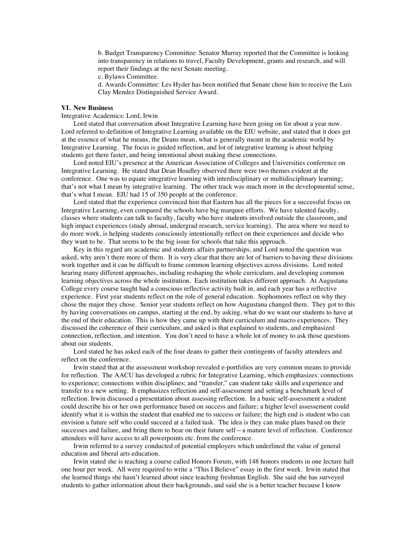b. Budget Transparency Committee: Senator Murray reported that the Committee is looking into transparency in relations to travel, Faculty Development, grants and research, and will report their findings at the next Senate meeting.

c. Bylaws Committee.

d. Awards Committee: Les Hyder has been notified that Senate chose him to receive the Luis Clay Mendez Distinguished Service Award.

#### **VI. New Business**

Integrative Academics: Lord, Irwin

Lord stated that conversation about Integrative Learning have been going on for about a year now. Lord referred to definition of Integrative Learning available on the EIU website, and stated that it does get at the essence of what he means, the Deans mean, what is generally meant in the academic world by Integrative Learning. The focus is guided reflection, and lot of integrative learning is about helping students get there faster, and being intentional about making these connections.

Lord noted EIU's presence at the American Association of Colleges and Universities conference on Integrative Learning. He stated that Dean Hoadley observed there were two themes evident at the conference. One was to equate integrative learning with interdisciplinary or multidisciplinary learning; that's not what I mean by integrative learning. The other track was much more in the developmental sense, that's what I mean. EIU had 15 of 350 people at the conference.

Lord stated that the experience convinced him that Eastern has all the pieces for a successful focus on Integrative Learning, even compared the schools have big marquee efforts. We have talented faculty, classes where students can talk to faculty, faculty who have students involved outside the classroom, and high impact experiences (study abroad, undergrad research, service learning). The area where we need to do more work, is helping students consciously intentionally reflect on their experiences and decide who they want to be. That seems to be the big issue for schools that take this approach.

Key in this regard are academic and students affairs partnerships, and Lord noted the question was asked, why aren't there more of them. It is very clear that there are lot of barriers to having these divisions work together and it can be difficult to frame common learning objectives across divisions. Lord noted hearing many different approaches, including reshaping the whole curriculum, and developing common learning objectives across the whole institution. Each institution takes different approach. At Augustana College every course taught had a conscious reflective activity built in, and each year has a reflective experience. First year students reflect on the role of general education. Sophomores reflect on why they chose the major they chose. Senior year students reflect on how Augustana changed them. They got to this by having conversations on campus, starting at the end, by asking, what do we want our students to have at the end of their education. This is how they came up with their curriculum and macro experiences. They discussed the coherence of their curriculum, and asked is that explained to students, and emphasized connection, reflection, and intention. You don't need to have a whole lot of money to ask those questions about our students.

Lord stated he has asked each of the four deans to gather their contingents of faculty attendees and reflect on the conference.

Irwin stated that at the assessment workshop revealed e-portfolios are very common means to provide for reflection. The AACU has developed a rubric for Integrative Learning, which emphasizes: connections to experience; connections within disciplines; and "transfer," can student take skills and experience and transfer to a new setting. It emphasizes reflection and self-assessment and setting a benchmark level of reflection. Irwin discussed a presentation about assessing reflection. In a basic self-assessment a student could describe his or her own performance based on success and failure; a higher level assessement could identify what it is within the student that enabled me to success or failure; the high end is student who can envision a future self who could succeed at a failed task. The idea is they can make plans based on their successes and failure, and bring them to bear on their future self—a mature level of reflection. Conference attendees will have access to all powerpoints etc. from the conference.

Irwin referred to a survey conducted of potential employers which underlined the value of general education and liberal arts education.

Irwin stated she is teaching a course called Honors Forum, with 148 honors students in one lecture hall one hour per week. All were required to write a "This I Believe" essay in the first week. Irwin stated that she learned things she hasn't learned about since teaching freshman English. She said she has surveyed students to gather information about their backgrounds, and said she is a better teacher because I know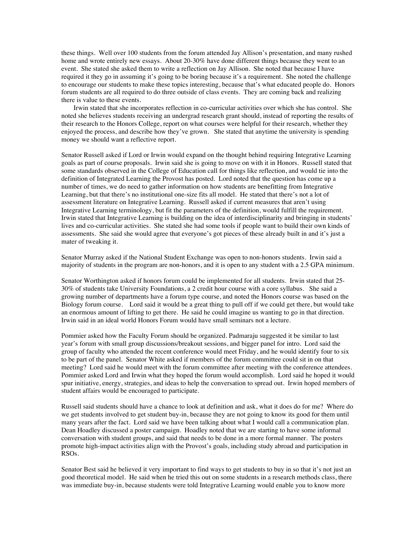these things. Well over 100 students from the forum attended Jay Allison's presentation, and many rushed home and wrote entirely new essays. About 20-30% have done different things because they went to an event. She stated she asked them to write a reflection on Jay Allison. She noted that because I have required it they go in assuming it's going to be boring because it's a requirement. She noted the challenge to encourage our students to make these topics interesting, because that's what educated people do. Honors forum students are all required to do three outside of class events. They are coming back and realizing there is value to these events.

Irwin stated that she incorporates reflection in co-curricular activities over which she has control. She noted she believes students receiving an undergrad research grant should, instead of reporting the results of their research to the Honors College, report on what courses were helpful for their research, whether they enjoyed the process, and describe how they've grown. She stated that anytime the university is spending money we should want a reflective report.

Senator Russell asked if Lord or Irwin would expand on the thought behind requiring Integrative Learning goals as part of course proposals. Irwin said she is going to move on with it in Honors. Russell stated that some standards observed in the College of Education call for things like reflection, and would tie into the definition of Integrated Learning the Provost has posted. Lord noted that the question has come up a number of times, we do need to gather information on how students are benefitting from Integrative Learning, but that there's no institutional one-size fits all model. He stated that there's not a lot of assessment literature on Integrative Learning. Russell asked if current measures that aren't using Integrative Learning terminology, but fit the parameters of the definition, would fulfill the requirement. Irwin stated that Integrative Learning is building on the idea of interdisciplinarity and bringing in students' lives and co-curricular activities. She stated she had some tools if people want to build their own kinds of assessments. She said she would agree that everyone's got pieces of these already built in and it's just a mater of tweaking it.

Senator Murray asked if the National Student Exchange was open to non-honors students. Irwin said a majority of students in the program are non-honors, and it is open to any student with a 2.5 GPA minimum.

Senator Worthington asked if honors forum could be implemented for all students. Irwin stated that 25- 30% of students take University Foundations, a 2 credit hour course with a core syllabus. She said a growing number of departments have a forum type course, and noted the Honors course was based on the Biology forum course. Lord said it would be a great thing to pull off if we could get there, but would take an enormous amount of lifting to get there. He said he could imagine us wanting to go in that direction. Irwin said in an ideal world Honors Forum would have small seminars not a lecture.

Pommier asked how the Faculty Forum should be organized. Padmaraju suggested it be similar to last year's forum with small group discussions/breakout sessions, and bigger panel for intro. Lord said the group of faculty who attended the recent conference would meet Friday, and he would identify four to six to be part of the panel. Senator White asked if members of the forum committee could sit in on that meeting? Lord said he would meet with the forum committee after meeting with the conference attendees. Pommier asked Lord and Irwin what they hoped the forum would accomplish. Lord said he hoped it would spur initiative, energy, strategies, and ideas to help the conversation to spread out. Irwin hoped members of student affairs would be encouraged to participate.

Russell said students should have a chance to look at definition and ask, what it does do for me? Where do we get students involved to get student buy-in, because they are not going to know its good for them until many years after the fact. Lord said we have been talking about what I would call a communication plan. Dean Hoadley discussed a poster campaign. Hoadley noted that we are starting to have some informal conversation with student groups, and said that needs to be done in a more formal manner. The posters promote high-impact activities align with the Provost's goals, including study abroad and participation in RSOs.

Senator Best said he believed it very important to find ways to get students to buy in so that it's not just an good theoretical model. He said when he tried this out on some students in a research methods class, there was immediate buy-in, because students were told Integrative Learning would enable you to know more